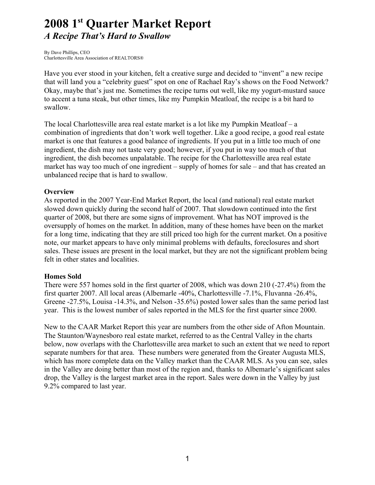# **2008 1st Quarter Market Report** *A Recipe That's Hard to Swallow*

By Dave Phillips, CEO Charlottesville Area Association of REALTORS®

Have you ever stood in your kitchen, felt a creative surge and decided to "invent" a new recipe that will land you a "celebrity guest" spot on one of Rachael Ray's shows on the Food Network? Okay, maybe that's just me. Sometimes the recipe turns out well, like my yogurt-mustard sauce to accent a tuna steak, but other times, like my Pumpkin Meatloaf, the recipe is a bit hard to swallow.

The local Charlottesville area real estate market is a lot like my Pumpkin Meatloaf – a combination of ingredients that don't work well together. Like a good recipe, a good real estate market is one that features a good balance of ingredients. If you put in a little too much of one ingredient, the dish may not taste very good; however, if you put in way too much of that ingredient, the dish becomes unpalatable. The recipe for the Charlottesville area real estate market has way too much of one ingredient – supply of homes for sale – and that has created an unbalanced recipe that is hard to swallow.

## **Overview**

As reported in the 2007 Year-End Market Report, the local (and national) real estate market slowed down quickly during the second half of 2007. That slowdown continued into the first quarter of 2008, but there are some signs of improvement. What has NOT improved is the oversupply of homes on the market. In addition, many of these homes have been on the market for a long time, indicating that they are still priced too high for the current market. On a positive note, our market appears to have only minimal problems with defaults, foreclosures and short sales. These issues are present in the local market, but they are not the significant problem being felt in other states and localities.

## **Homes Sold**

There were 557 homes sold in the first quarter of 2008, which was down 210 (-27.4%) from the first quarter 2007. All local areas (Albemarle -40%, Charlottesville -7.1%, Fluvanna -26.4%, Greene -27.5%, Louisa -14.3%, and Nelson -35.6%) posted lower sales than the same period last year. This is the lowest number of sales reported in the MLS for the first quarter since 2000.

New to the CAAR Market Report this year are numbers from the other side of Afton Mountain. The Staunton/Waynesboro real estate market, referred to as the Central Valley in the charts below, now overlaps with the Charlottesville area market to such an extent that we need to report separate numbers for that area. These numbers were generated from the Greater Augusta MLS, which has more complete data on the Valley market than the CAAR MLS. As you can see, sales in the Valley are doing better than most of the region and, thanks to Albemarle's significant sales drop, the Valley is the largest market area in the report. Sales were down in the Valley by just 9.2% compared to last year.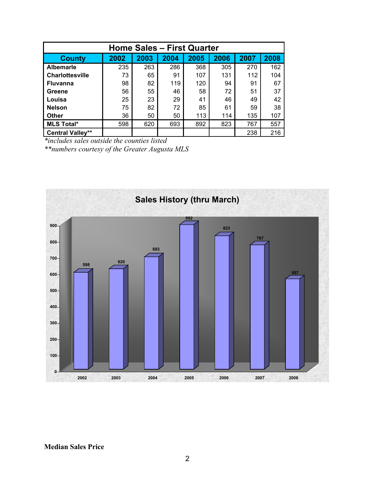| <b>Home Sales - First Quarter</b> |      |      |      |      |      |      |      |  |  |
|-----------------------------------|------|------|------|------|------|------|------|--|--|
| <b>County</b>                     | 2002 | 2003 | 2004 | 2005 | 2006 | 2007 | 2008 |  |  |
| <b>Albemarle</b>                  | 235  | 263  | 286  | 368  | 305  | 270  | 162  |  |  |
| Charlottesville                   | 73   | 65   | 91   | 107  | 131  | 112  | 104  |  |  |
| <b>Fluvanna</b>                   | 98   | 82   | 119  | 120  | 94   | 91   | 67   |  |  |
| Greene                            | 56   | 55   | 46   | 58   | 72   | 51   | 37   |  |  |
| Louisa                            | 25   | 23   | 29   | 41   | 46   | 49   | 42   |  |  |
| <b>Nelson</b>                     | 75   | 82   | 72   | 85   | 61   | 59   | 38   |  |  |
| <b>Other</b>                      | 36   | 50   | 50   | 113  | 114  | 135  | 107  |  |  |
| <b>MLS Total*</b>                 | 598  | 620  | 693  | 892  | 823  | 767  | 557  |  |  |
| <b>Central Valley**</b>           |      |      |      |      |      | 238  | 216  |  |  |

*\*includes sales outside the counties listed*

*\*\*numbers courtesy of the Greater Augusta MLS*



**Median Sales Price**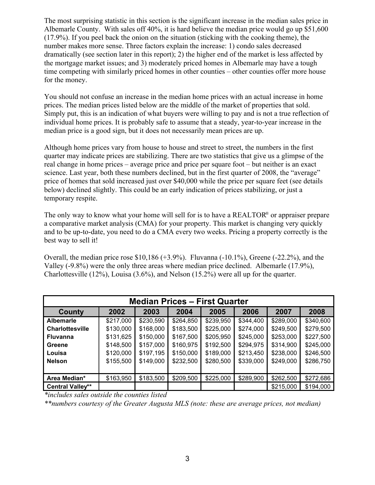The most surprising statistic in this section is the significant increase in the median sales price in Albemarle County. With sales off 40%, it is hard believe the median price would go up \$51,600 (17.9%). If you peel back the onion on the situation (sticking with the cooking theme), the number makes more sense. Three factors explain the increase: 1) condo sales decreased dramatically (see section later in this report); 2) the higher end of the market is less affected by the mortgage market issues; and 3) moderately priced homes in Albemarle may have a tough time competing with similarly priced homes in other counties – other counties offer more house for the money.

You should not confuse an increase in the median home prices with an actual increase in home prices. The median prices listed below are the middle of the market of properties that sold. Simply put, this is an indication of what buyers were willing to pay and is not a true reflection of individual home prices. It is probably safe to assume that a steady, year-to-year increase in the median price is a good sign, but it does not necessarily mean prices are up.

Although home prices vary from house to house and street to street, the numbers in the first quarter may indicate prices are stabilizing. There are two statistics that give us a glimpse of the real change in home prices – average price and price per square foot – but neither is an exact science. Last year, both these numbers declined, but in the first quarter of 2008, the "average" price of homes that sold increased just over \$40,000 while the price per square feet (see details below) declined slightly. This could be an early indication of prices stabilizing, or just a temporary respite.

The only way to know what your home will sell for is to have a REALTOR® or appraiser prepare a comparative market analysis (CMA) for your property. This market is changing very quickly and to be up-to-date, you need to do a CMA every two weeks. Pricing a property correctly is the best way to sell it!

Overall, the median price rose  $$10,186 (+3.9%)$ . Fluvanna  $(-10.1%)$ , Greene  $(-22.2%)$ , and the Valley (-9.8%) were the only three areas where median price declined. Albemarle (17.9%), Charlottesville (12%), Louisa (3.6%), and Nelson (15.2%) were all up for the quarter.

| <b>Median Prices - First Quarter</b> |           |           |           |           |           |           |           |  |
|--------------------------------------|-----------|-----------|-----------|-----------|-----------|-----------|-----------|--|
| <b>County</b>                        | 2002      | 2003      | 2004      | 2005      | 2006      | 2007      | 2008      |  |
| <b>Albemarle</b>                     | \$217,000 | \$230,590 | \$264,850 | \$239,950 | \$344,400 | \$289,000 | \$340,600 |  |
| <b>Charlottesville</b>               | \$130,000 | \$168,000 | \$183,500 | \$225,000 | \$274,000 | \$249,500 | \$279,500 |  |
| <b>Fluvanna</b>                      | \$131,625 | \$150,000 | \$167,500 | \$205,950 | \$245,000 | \$253,000 | \$227,500 |  |
| Greene                               | \$148,500 | \$157,000 | \$160,975 | \$192,500 | \$294,975 | \$314,900 | \$245,000 |  |
| Louisa                               | \$120,000 | \$197,195 | \$150,000 | \$189,000 | \$213,450 | \$238,000 | \$246,500 |  |
| <b>Nelson</b>                        | \$155,500 | \$149,000 | \$232,500 | \$280,500 | \$339,000 | \$249,000 | \$286,750 |  |
|                                      |           |           |           |           |           |           |           |  |
| Area Median*                         | \$163,950 | \$183,500 | \$209,500 | \$225,000 | \$289,900 | \$262,500 | \$272,686 |  |
| <b>Central Valley**</b>              |           |           |           |           |           | \$215,000 | \$194,000 |  |

*\*includes sales outside the counties listed*

*\*\*numbers courtesy of the Greater Augusta MLS (note: these are average prices, not median)*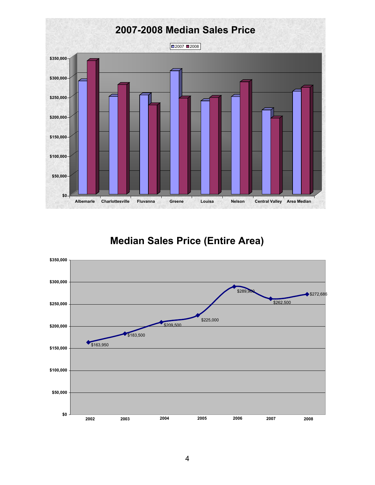

# **Median Sales Price (Entire Area)**

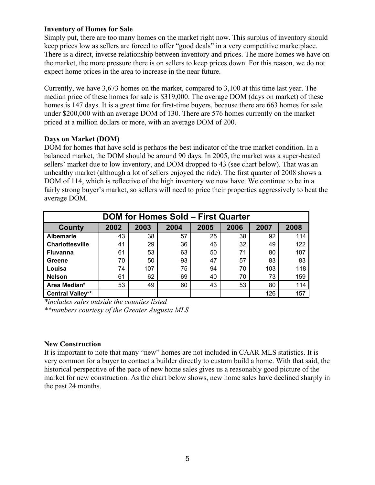## **Inventory of Homes for Sale**

Simply put, there are too many homes on the market right now. This surplus of inventory should keep prices low as sellers are forced to offer "good deals" in a very competitive marketplace. There is a direct, inverse relationship between inventory and prices. The more homes we have on the market, the more pressure there is on sellers to keep prices down. For this reason, we do not expect home prices in the area to increase in the near future.

Currently, we have 3,673 homes on the market, compared to 3,100 at this time last year. The median price of these homes for sale is \$319,000. The average DOM (days on market) of these homes is 147 days. It is a great time for first-time buyers, because there are 663 homes for sale under \$200,000 with an average DOM of 130. There are 576 homes currently on the market priced at a million dollars or more, with an average DOM of 200.

## **Days on Market (DOM)**

DOM for homes that have sold is perhaps the best indicator of the true market condition. In a balanced market, the DOM should be around 90 days. In 2005, the market was a super-heated sellers' market due to low inventory, and DOM dropped to 43 (see chart below). That was an unhealthy market (although a lot of sellers enjoyed the ride). The first quarter of 2008 shows a DOM of 114, which is reflective of the high inventory we now have. We continue to be in a fairly strong buyer's market, so sellers will need to price their properties aggressively to beat the average DOM.

| <b>DOM for Homes Sold - First Quarter</b> |      |      |      |      |      |      |      |  |
|-------------------------------------------|------|------|------|------|------|------|------|--|
| County                                    | 2002 | 2003 | 2004 | 2005 | 2006 | 2007 | 2008 |  |
| <b>Albemarle</b>                          | 43   | 38   | 57   | 25   | 38   | 92   | 114  |  |
| <b>Charlottesville</b>                    | 41   | 29   | 36   | 46   | 32   | 49   | 122  |  |
| <b>Fluvanna</b>                           | 61   | 53   | 63   | 50   | 71   | 80   | 107  |  |
| Greene                                    | 70   | 50   | 93   | 47   | 57   | 83   | 83   |  |
| Louisa                                    | 74   | 107  | 75   | 94   | 70   | 103  | 118  |  |
| <b>Nelson</b>                             | 61   | 62   | 69   | 40   | 70   | 73   | 159  |  |
| Area Median*                              | 53   | 49   | 60   | 43   | 53   | 80   | 114  |  |
| Central Valley**                          |      |      |      |      |      | 126  | 157  |  |

*\*includes sales outside the counties listed*

*\*\*numbers courtesy of the Greater Augusta MLS*

## **New Construction**

It is important to note that many "new" homes are not included in CAAR MLS statistics. It is very common for a buyer to contact a builder directly to custom build a home. With that said, the historical perspective of the pace of new home sales gives us a reasonably good picture of the market for new construction. As the chart below shows, new home sales have declined sharply in the past 24 months.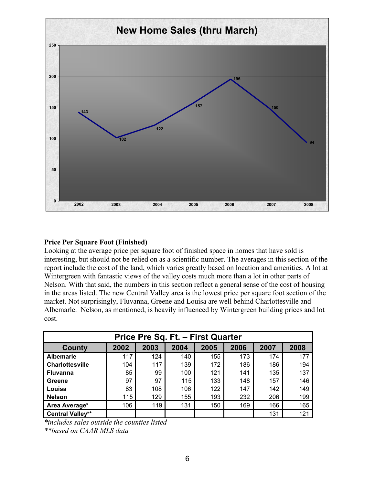

## **Price Per Square Foot (Finished)**

Looking at the average price per square foot of finished space in homes that have sold is interesting, but should not be relied on as a scientific number. The averages in this section of the report include the cost of the land, which varies greatly based on location and amenities. A lot at Wintergreen with fantastic views of the valley costs much more than a lot in other parts of Nelson. With that said, the numbers in this section reflect a general sense of the cost of housing in the areas listed. The new Central Valley area is the lowest price per square foot section of the market. Not surprisingly, Fluvanna, Greene and Louisa are well behind Charlottesville and Albemarle. Nelson, as mentioned, is heavily influenced by Wintergreen building prices and lot cost.

| Price Pre Sq. Ft. - First Quarter |      |      |      |      |      |      |      |  |
|-----------------------------------|------|------|------|------|------|------|------|--|
| <b>County</b>                     | 2002 | 2003 | 2004 | 2005 | 2006 | 2007 | 2008 |  |
| <b>Albemarle</b>                  | 117  | 124  | 140  | 155  | 173  | 174  | 177  |  |
| <b>Charlottesville</b>            | 104  | 117  | 139  | 172  | 186  | 186  | 194  |  |
| <b>Fluvanna</b>                   | 85   | 99   | 100  | 121  | 141  | 135  | 137  |  |
| Greene                            | 97   | 97   | 115  | 133  | 148  | 157  | 146  |  |
| Louisa                            | 83   | 108  | 106  | 122  | 147  | 142  | 149  |  |
| <b>Nelson</b>                     | 115  | 129  | 155  | 193  | 232  | 206  | 199  |  |
| Area Average*                     | 106  | 119  | 131  | 150  | 169  | 166  | 165  |  |
| <b>Central Valley**</b>           |      |      |      |      |      | 131  | 121  |  |

*\*includes sales outside the counties listed*

*\*\*based on CAAR MLS data*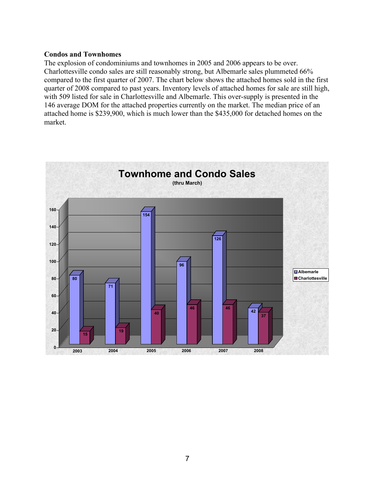#### **Condos and Townhomes**

The explosion of condominiums and townhomes in 2005 and 2006 appears to be over. Charlottesville condo sales are still reasonably strong, but Albemarle sales plummeted 66% compared to the first quarter of 2007. The chart below shows the attached homes sold in the first quarter of 2008 compared to past years. Inventory levels of attached homes for sale are still high, with 509 listed for sale in Charlottesville and Albemarle. This over-supply is presented in the 146 average DOM for the attached properties currently on the market. The median price of an attached home is \$239,900, which is much lower than the \$435,000 for detached homes on the market.